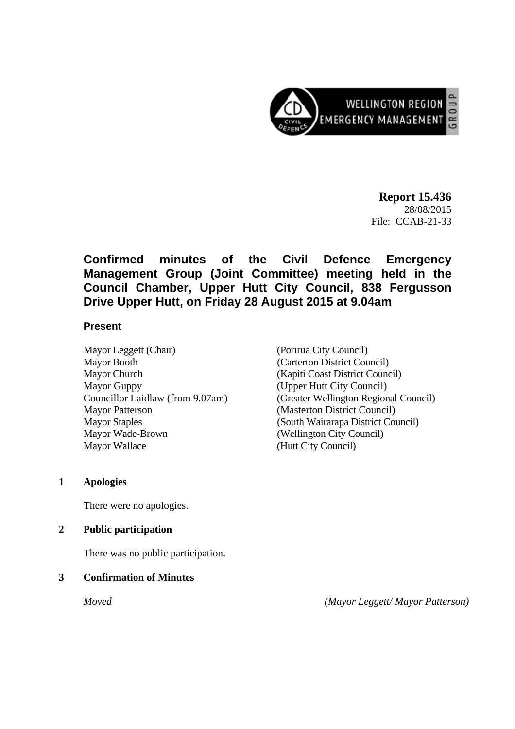

**Report 15.436**  28/08/2015 File: CCAB-21-33

## **Confirmed minutes of the Civil Defence Emergency Management Group (Joint Committee) meeting held in the Council Chamber, Upper Hutt City Council, 838 Fergusson Drive Upper Hutt, on Friday 28 August 2015 at 9.04am**

#### **Present**

Mayor Leggett (Chair) (Porirua City Council) Mayor Booth (Carterton District Council) Mayor Church (Kapiti Coast District Council) Mayor Guppy (Upper Hutt City Council) Mayor Patterson (Masterton District Council) Mayor Staples (South Wairarapa District Council) Mayor Wade-Brown (Wellington City Council) Mayor Wallace (Hutt City Council)

Councillor Laidlaw (from 9.07am) (Greater Wellington Regional Council)

#### **1 Apologies**

There were no apologies.

#### **2 Public participation**

There was no public participation.

#### **3 Confirmation of Minutes**

*Moved (Mayor Leggett/ Mayor Patterson)*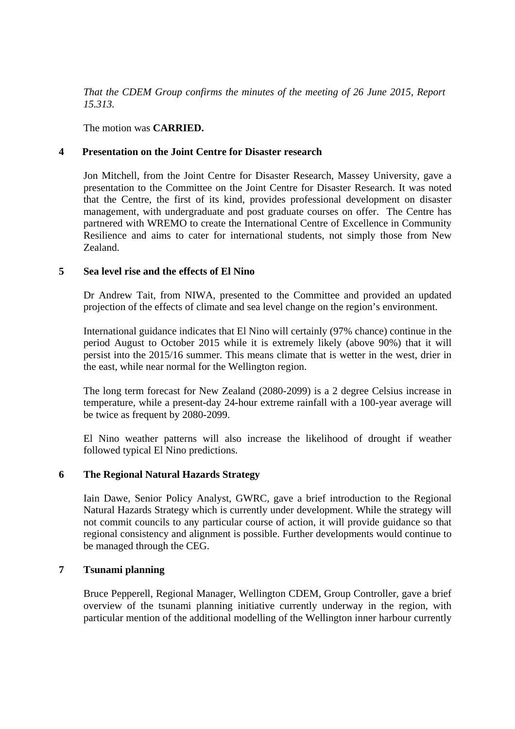*That the CDEM Group confirms the minutes of the meeting of 26 June 2015, Report 15.313.* 

The motion was **CARRIED.** 

#### **4 Presentation on the Joint Centre for Disaster research**

 Jon Mitchell, from the Joint Centre for Disaster Research, Massey University, gave a presentation to the Committee on the Joint Centre for Disaster Research. It was noted that the Centre, the first of its kind, provides professional development on disaster management, with undergraduate and post graduate courses on offer. The Centre has partnered with WREMO to create the International Centre of Excellence in Community Resilience and aims to cater for international students, not simply those from New Zealand.

#### **5 Sea level rise and the effects of El Nino**

Dr Andrew Tait, from NIWA, presented to the Committee and provided an updated projection of the effects of climate and sea level change on the region's environment.

International guidance indicates that El Nino will certainly (97% chance) continue in the period August to October 2015 while it is extremely likely (above 90%) that it will persist into the 2015/16 summer. This means climate that is wetter in the west, drier in the east, while near normal for the Wellington region.

The long term forecast for New Zealand (2080-2099) is a 2 degree Celsius increase in temperature, while a present-day 24-hour extreme rainfall with a 100-year average will be twice as frequent by 2080-2099.

El Nino weather patterns will also increase the likelihood of drought if weather followed typical El Nino predictions.

### **6 The Regional Natural Hazards Strategy**

Iain Dawe, Senior Policy Analyst, GWRC, gave a brief introduction to the Regional Natural Hazards Strategy which is currently under development. While the strategy will not commit councils to any particular course of action, it will provide guidance so that regional consistency and alignment is possible. Further developments would continue to be managed through the CEG.

### **7 Tsunami planning**

Bruce Pepperell, Regional Manager, Wellington CDEM, Group Controller, gave a brief overview of the tsunami planning initiative currently underway in the region, with particular mention of the additional modelling of the Wellington inner harbour currently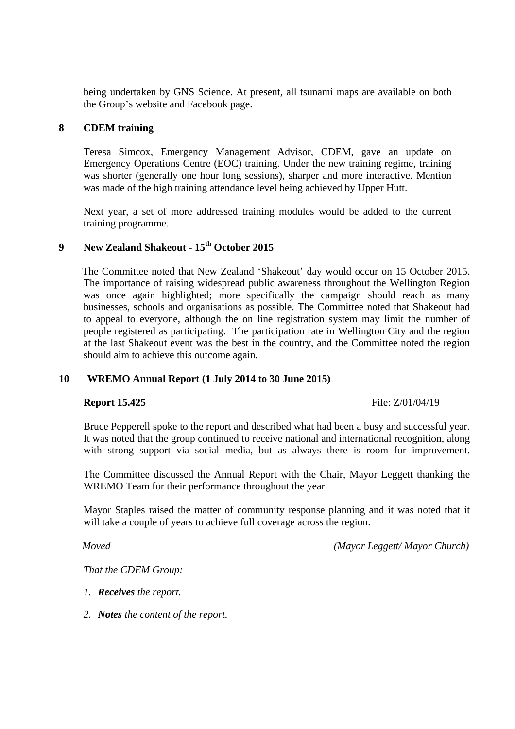being undertaken by GNS Science. At present, all tsunami maps are available on both the Group's website and Facebook page.

#### **8 CDEM training**

Teresa Simcox, Emergency Management Advisor, CDEM, gave an update on Emergency Operations Centre (EOC) training. Under the new training regime, training was shorter (generally one hour long sessions), sharper and more interactive. Mention was made of the high training attendance level being achieved by Upper Hutt.

Next year, a set of more addressed training modules would be added to the current training programme.

# **9 New Zealand Shakeout - 15th October 2015**

The Committee noted that New Zealand 'Shakeout' day would occur on 15 October 2015. The importance of raising widespread public awareness throughout the Wellington Region was once again highlighted; more specifically the campaign should reach as many businesses, schools and organisations as possible. The Committee noted that Shakeout had to appeal to everyone, although the on line registration system may limit the number of people registered as participating. The participation rate in Wellington City and the region at the last Shakeout event was the best in the country, and the Committee noted the region should aim to achieve this outcome again.

#### **10 WREMO Annual Report (1 July 2014 to 30 June 2015)**

**Report 15.425** File: Z/01/04/19

Bruce Pepperell spoke to the report and described what had been a busy and successful year. It was noted that the group continued to receive national and international recognition, along with strong support via social media, but as always there is room for improvement.

The Committee discussed the Annual Report with the Chair, Mayor Leggett thanking the WREMO Team for their performance throughout the year

Mayor Staples raised the matter of community response planning and it was noted that it will take a couple of years to achieve full coverage across the region.

*Moved (Mayor Leggett/ Mayor Church)*

*That the CDEM Group:*

- *1. Receives the report.*
- *2. Notes the content of the report.*